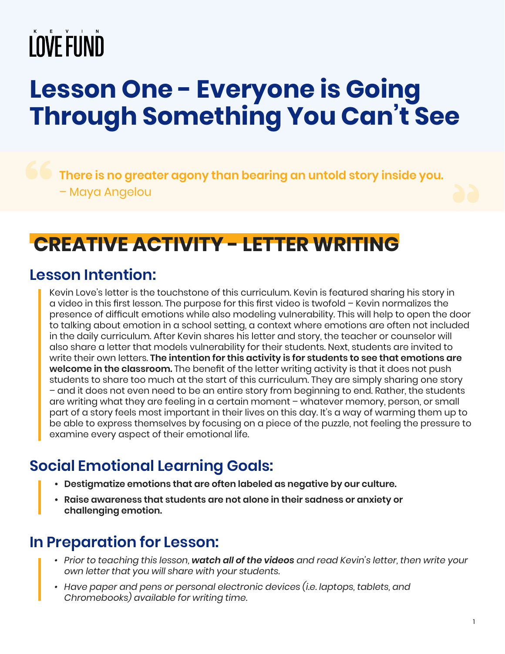## **Lesson One - Everyone is Going Through Something You Can't See**

**There is no greater agony than bearing an untold story inside you.** – Maya Angelou

## **CREATIVE ACTIVITY - LETTER WRITING**

### **Lesson Intention:**

Kevin Love's letter is the touchstone of this curriculum. Kevin is featured sharing his story in a video in this first lesson. The purpose for this first video is twofold – Kevin normalizes the presence of difficult emotions while also modeling vulnerability. This will help to open the door to talking about emotion in a school setting, a context where emotions are often not included in the daily curriculum. After Kevin shares his letter and story, the teacher or counselor will also share a letter that models vulnerability for their students. Next, students are invited to write their own letters. **The intention for this activity is for students to see that emotions are welcome in the classroom.** The benefit of the letter writing activity is that it does not push students to share too much at the start of this curriculum. They are simply sharing one story – and it does not even need to be an entire story from beginning to end. Rather, the students are writing what they are feeling in a certain moment – whatever memory, person, or small part of a story feels most important in their lives on this day. It's a way of warming them up to be able to express themselves by focusing on a piece of the puzzle, not feeling the pressure to examine every aspect of their emotional life.

## **Social Emotional Learning Goals:**

- **• Destigmatize emotions that are often labeled as negative by our culture.**
- **• Raise awareness that students are not alone in their sadness or anxiety or challenging emotion.**

## **In Preparation for Lesson:**

- *• Prior to teaching this lesson, watch all of the videos and read Kevin's letter, then write your own letter that you will share with your students.*
- Have paper and pens or personal electronic devices (i.e. laptops, tablets, and *Chromebooks) available for writing time.*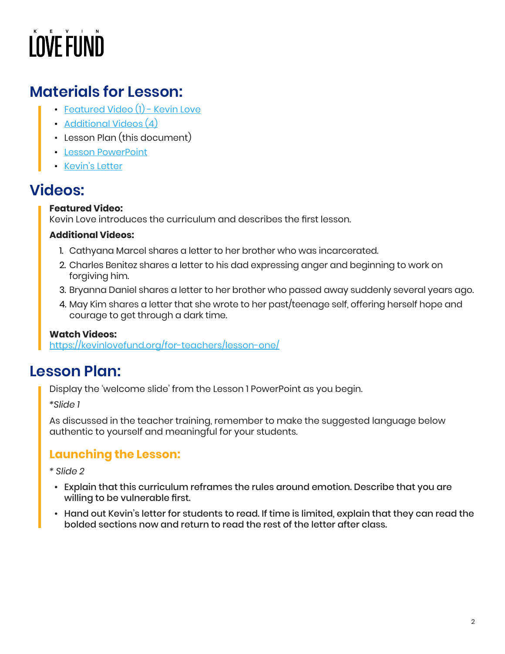### **Materials for Lesson:**

- [Featured Video \(1\) Kevin Love](https://kevinlovefund.org/for-teachers/lesson-one/)
- [Additional Videos \(4\)](https://kevinlovefund.org/for-teachers/lesson-one/)
- Lesson Plan (this document)
- [Lesson PowerPoint](https://kevinlovefund.org/downloads/lesson-materials/KLF-SEL-Lesson-One.pdf)
- [Kevin's Letter](https://kevinlovefund.org/wp-content/uploads/2022/02/Everyone-is-Going-Through-Something.pdf)

### **Videos:**

#### **Featured Video:**

Kevin Love introduces the curriculum and describes the first lesson.

#### **Additional Videos:**

- 1. Cathyana Marcel shares a letter to her brother who was incarcerated.
- 2. Charles Benitez shares a letter to his dad expressing anger and beginning to work on forgiving him.
- 3. Bryanna Daniel shares a letter to her brother who passed away suddenly several years ago.
- 4. May Kim shares a letter that she wrote to her past/teenage self, offering herself hope and courage to get through a dark time.

#### **Watch Videos:**

<https://kevinlovefund.org/for-teachers/lesson-one/>

### **Lesson Plan:**

Display the 'welcome slide' from the Lesson 1 PowerPoint as you begin.

*\*Slide 1*

As discussed in the teacher training, remember to make the suggested language below authentic to yourself and meaningful for your students.

#### **Launching the Lesson:**

*\* Slide 2*

- Explain that this curriculum reframes the rules around emotion. Describe that you are willing to be vulnerable first.
- Hand out Kevin's letter for students to read. If time is limited, explain that they can read the bolded sections now and return to read the rest of the letter after class.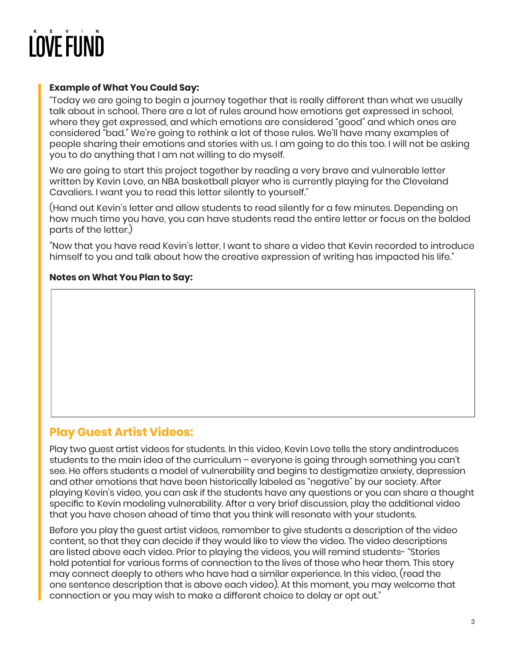#### **Example of What You Could Say:**

"Today we are going to begin a journey together that is really different than what we usually talk about in school. There are a lot of rules around how emotions get expressed in school, where they get expressed, and which emotions are considered "good" and which ones are considered "bad." We're going to rethink a lot of those rules. We'll have many examples of people sharing their emotions and stories with us. I am going to do this too. I will not be asking you to do anything that I am not willing to do myself.

We are going to start this project together by reading a very brave and vulnerable letter written by Kevin Love, an NBA basketball player who is currently playing for the Cleveland Cavaliers. I want you to read this letter silently to yourself."

(Hand out Kevin's letter and allow students to read silently for a few minutes. Depending on how much time you have, you can have students read the entire letter or focus on the bolded parts of the letter.)

"Now that you have read Kevin's letter, I want to share a video that Kevin recorded to introduce himself to you and talk about how the creative expression of writing has impacted his life."

#### **Notes on What You Plan to Say:**

#### **Play Guest Artist Videos:**

Play two guest artist videos for students. In this video, Kevin Love tells the story andintroduces students to the main idea of the curriculum – everyone is going through something you can't see. He offers students a model of vulnerability and begins to destigmatize anxiety, depression and other emotions that have been historically labeled as "negative" by our society. After playing Kevin's video, you can ask if the students have any questions or you can share a thought specific to Kevin modeling vulnerability. After a very brief discussion, play the additional video that you have chosen ahead of time that you think will resonate with your students.

Before you play the guest artist videos, remember to give students a description of the video content, so that they can decide if they would like to view the video. The video descriptions are listed above each video. Prior to playing the videos, you will remind students- "Stories hold potential for various forms of connection to the lives of those who hear them. This story may connect deeply to others who have had a similar experience. In this video, (read the one sentence description that is above each video). At this moment, you may welcome that connection or you may wish to make a different choice to delay or opt out."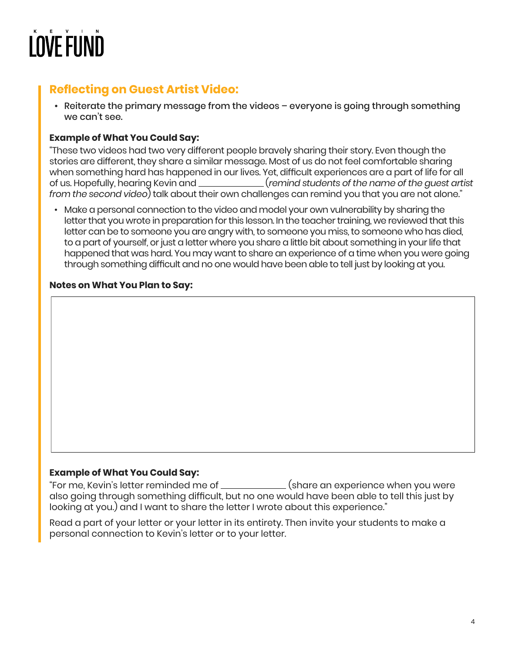### **Reflecting on Guest Artist Video:**

• Reiterate the primary message from the videos – everyone is going through something we can't see.

#### **Example of What You Could Say:**

"These two videos had two very different people bravely sharing their story. Even though the stories are different, they share a similar message. Most of us do not feel comfortable sharing when something hard has happened in our lives. Yet, difficult experiences are a part of life for all of us. Hopefully, hearing Kevin and (*remind students of the name of the guest artist from the second video*) talk about their own challenges can remind you that you are not alone."

• Make a personal connection to the video and model your own vulnerability by sharing the letter that you wrote in preparation for this lesson. In the teacher training, we reviewed that this letter can be to someone you are angry with, to someone you miss, to someone who has died, to a part of yourself, or just a letter where you share a little bit about something in your life that happened that was hard. You may want to share an experience of a time when you were going through something difficult and no one would have been able to tell just by looking at you.

#### **Notes on What You Plan to Say:**

#### **Example of What You Could Say:**

"For me, Kevin's letter reminded me of \_\_\_\_\_\_\_\_\_\_\_\_(share an experience when you were also going through something difficult, but no one would have been able to tell this just by looking at you.) and I want to share the letter I wrote about this experience."

Read a part of your letter or your letter in its entirety. Then invite your students to make a personal connection to Kevin's letter or to your letter.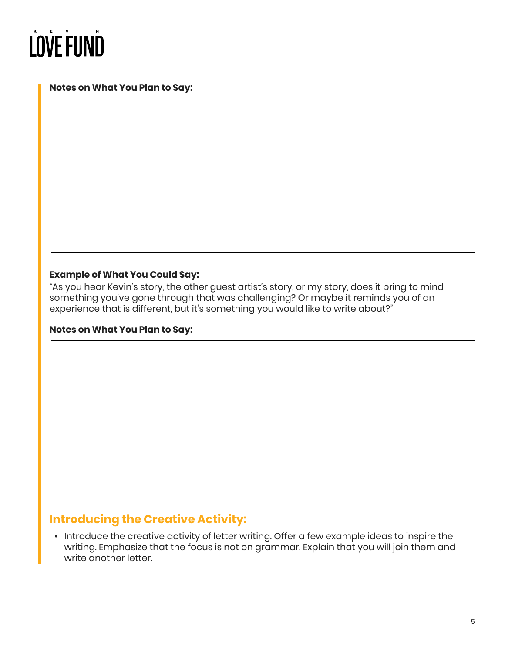#### **Notes on What You Plan to Say:**

#### **Example of What You Could Say:**

"As you hear Kevin's story, the other guest artist's story, or my story, does it bring to mind something you've gone through that was challenging? Or maybe it reminds you of an experience that is different, but it's something you would like to write about?"

#### **Notes on What You Plan to Say:**

#### **Introducing the Creative Activity:**

• Introduce the creative activity of letter writing. Offer a few example ideas to inspire the writing. Emphasize that the focus is not on grammar. Explain that you will join them and write another letter.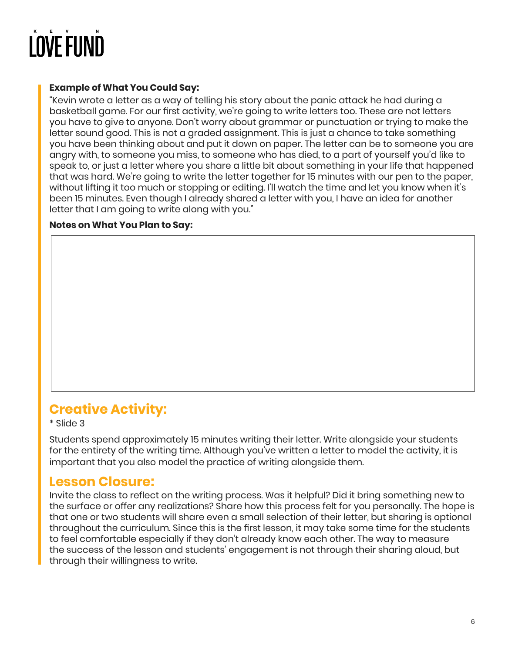#### **Example of What You Could Say:**

"Kevin wrote a letter as a way of telling his story about the panic attack he had during a basketball game. For our first activity, we're going to write letters too. These are not letters you have to give to anyone. Don't worry about grammar or punctuation or trying to make the letter sound good. This is not a graded assignment. This is just a chance to take something you have been thinking about and put it down on paper. The letter can be to someone you are angry with, to someone you miss, to someone who has died, to a part of yourself you'd like to speak to, or just a letter where you share a little bit about something in your life that happened that was hard. We're going to write the letter together for 15 minutes with our pen to the paper, without lifting it too much or stopping or editing. I'll watch the time and let you know when it's been 15 minutes. Even though I already shared a letter with you, I have an idea for another letter that I am going to write along with you."

#### **Notes on What You Plan to Say:**

### **Creative Activity:**

\* Slide 3

Students spend approximately 15 minutes writing their letter. Write alongside your students for the entirety of the writing time. Although you've written a letter to model the activity, it is important that you also model the practice of writing alongside them.

#### **Lesson Closure:**

Invite the class to reflect on the writing process. Was it helpful? Did it bring something new to the surface or offer any realizations? Share how this process felt for you personally. The hope is that one or two students will share even a small selection of their letter, but sharing is optional throughout the curriculum. Since this is the first lesson, it may take some time for the students to feel comfortable especially if they don't already know each other. The way to measure the success of the lesson and students' engagement is not through their sharing aloud, but through their willingness to write.